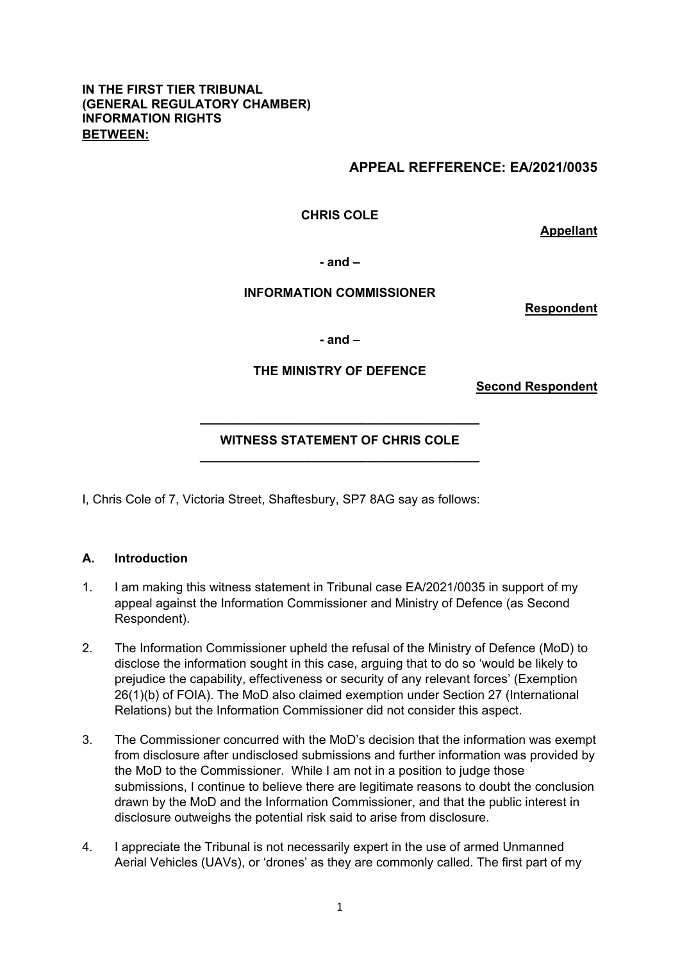#### **IN THE FIRST TIER TRIBUNAL (GENERAL REGULATORY CHAMBER) INFORMATION RIGHTS BETWEEN:**

### **APPEAL REFFERENCE: EA/2021/0035**

**CHRIS COLE** 

**Appellant** 

**- and –** 

#### **INFORMATION COMMISSIONER**

**Respondent** 

**- and –** 

#### **THE MINISTRY OF DEFENCE**

**Second Respondent** 

# **\_\_\_\_\_\_\_\_\_\_\_\_\_\_\_\_\_\_\_\_\_\_\_\_\_\_\_\_\_\_\_\_\_\_\_\_\_\_\_\_ WITNESS STATEMENT OF CHRIS COLE \_\_\_\_\_\_\_\_\_\_\_\_\_\_\_\_\_\_\_\_\_\_\_\_\_\_\_\_\_\_\_\_\_\_\_\_\_\_\_\_**

I, Chris Cole of 7, Victoria Street, Shaftesbury, SP7 8AG say as follows:

#### **A. Introduction**

- 1. I am making this witness statement in Tribunal case EA/2021/0035 in support of my appeal against the Information Commissioner and Ministry of Defence (as Second Respondent).
- 2. The Information Commissioner upheld the refusal of the Ministry of Defence (MoD) to disclose the information sought in this case, arguing that to do so 'would be likely to prejudice the capability, effectiveness or security of any relevant forces' (Exemption 26(1)(b) of FOIA). The MoD also claimed exemption under Section 27 (International Relations) but the Information Commissioner did not consider this aspect.
- 3. The Commissioner concurred with the MoD's decision that the information was exempt from disclosure after undisclosed submissions and further information was provided by the MoD to the Commissioner. While I am not in a position to judge those submissions, I continue to believe there are legitimate reasons to doubt the conclusion drawn by the MoD and the Information Commissioner, and that the public interest in disclosure outweighs the potential risk said to arise from disclosure.
- 4. I appreciate the Tribunal is not necessarily expert in the use of armed Unmanned Aerial Vehicles (UAVs), or 'drones' as they are commonly called. The first part of my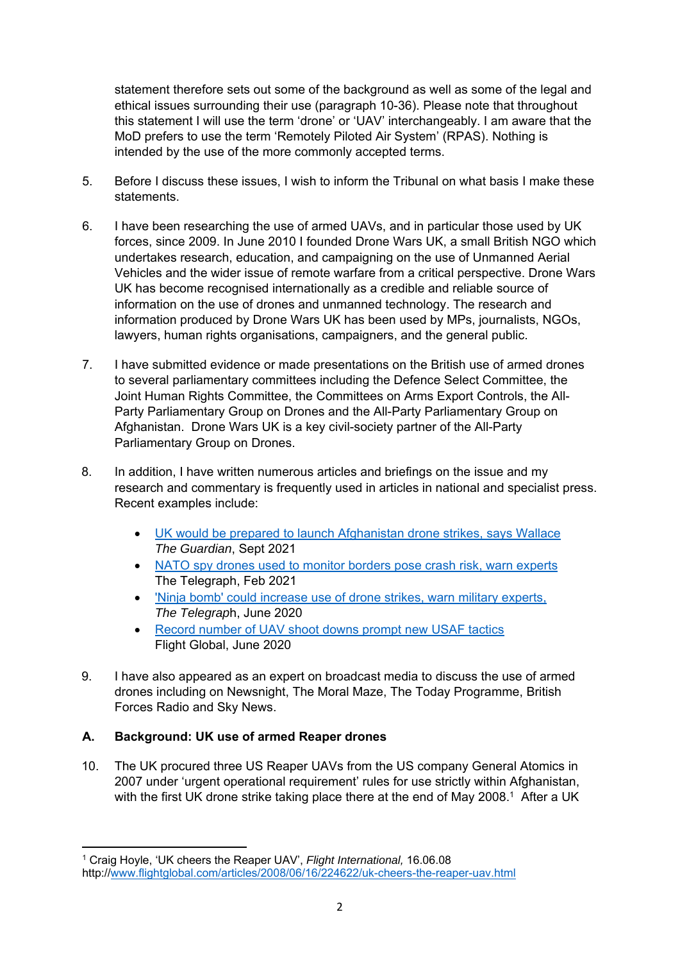statement therefore sets out some of the background as well as some of the legal and ethical issues surrounding their use (paragraph 10-36). Please note that throughout this statement I will use the term 'drone' or 'UAV' interchangeably. I am aware that the MoD prefers to use the term 'Remotely Piloted Air System' (RPAS). Nothing is intended by the use of the more commonly accepted terms.

- 5. Before I discuss these issues, I wish to inform the Tribunal on what basis I make these statements.
- 6. I have been researching the use of armed UAVs, and in particular those used by UK forces, since 2009. In June 2010 I founded Drone Wars UK, a small British NGO which undertakes research, education, and campaigning on the use of Unmanned Aerial Vehicles and the wider issue of remote warfare from a critical perspective. Drone Wars UK has become recognised internationally as a credible and reliable source of information on the use of drones and unmanned technology. The research and information produced by Drone Wars UK has been used by MPs, journalists, NGOs, lawyers, human rights organisations, campaigners, and the general public.
- 7. I have submitted evidence or made presentations on the British use of armed drones to several parliamentary committees including the Defence Select Committee, the Joint Human Rights Committee, the Committees on Arms Export Controls, the All-Party Parliamentary Group on Drones and the All-Party Parliamentary Group on Afghanistan. Drone Wars UK is a key civil-society partner of the All-Party Parliamentary Group on Drones.
- 8. In addition, I have written numerous articles and briefings on the issue and my research and commentary is frequently used in articles in national and specialist press. Recent examples include:
	- UK would be prepared to launch Afghanistan drone strikes, says Wallace *The Guardian*, Sept 2021
	- NATO spy drones used to monitor borders pose crash risk, warn experts The Telegraph, Feb 2021
	- 'Ninja bomb' could increase use of drone strikes, warn military experts, *The Telegrap*h, June 2020
	- Record number of UAV shoot downs prompt new USAF tactics Flight Global, June 2020
- 9. I have also appeared as an expert on broadcast media to discuss the use of armed drones including on Newsnight, The Moral Maze, The Today Programme, British Forces Radio and Sky News.

# **A. Background: UK use of armed Reaper drones**

10. The UK procured three US Reaper UAVs from the US company General Atomics in 2007 under 'urgent operational requirement' rules for use strictly within Afghanistan, with the first UK drone strike taking place there at the end of May 2008.<sup>1</sup> After a UK

<sup>1</sup> Craig Hoyle, 'UK cheers the Reaper UAV', *Flight International,* 16.06.08 http://www.flightglobal.com/articles/2008/06/16/224622/uk-cheers-the-reaper-uav.html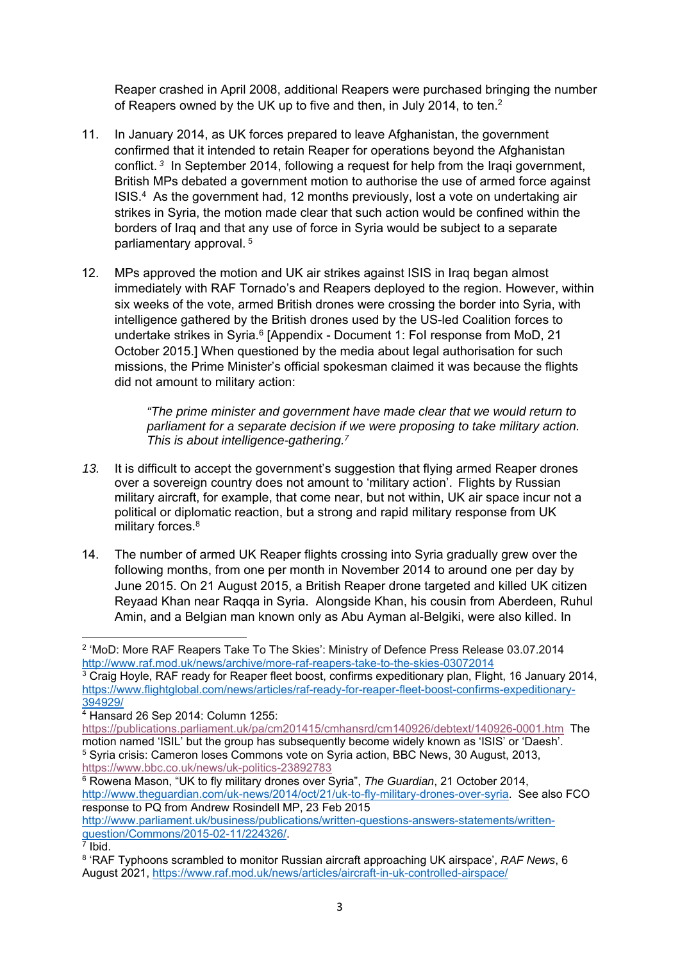Reaper crashed in April 2008, additional Reapers were purchased bringing the number of Reapers owned by the UK up to five and then, in July 2014, to ten.2

- 11. In January 2014, as UK forces prepared to leave Afghanistan, the government confirmed that it intended to retain Reaper for operations beyond the Afghanistan conflict.*<sup>3</sup>* In September 2014, following a request for help from the Iraqi government, British MPs debated a government motion to authorise the use of armed force against ISIS.4 As the government had, 12 months previously, lost a vote on undertaking air strikes in Syria, the motion made clear that such action would be confined within the borders of Iraq and that any use of force in Syria would be subject to a separate parliamentary approval. 5
- 12. MPs approved the motion and UK air strikes against ISIS in Iraq began almost immediately with RAF Tornado's and Reapers deployed to the region. However, within six weeks of the vote, armed British drones were crossing the border into Syria, with intelligence gathered by the British drones used by the US-led Coalition forces to undertake strikes in Syria.<sup>6</sup> [Appendix - Document 1: FoI response from MoD, 21 October 2015.] When questioned by the media about legal authorisation for such missions, the Prime Minister's official spokesman claimed it was because the flights did not amount to military action:

*"The prime minister and government have made clear that we would return to parliament for a separate decision if we were proposing to take military action. This is about intelligence-gathering.7*

- *13.* It is difficult to accept the government's suggestion that flying armed Reaper drones over a sovereign country does not amount to 'military action'. Flights by Russian military aircraft, for example, that come near, but not within, UK air space incur not a political or diplomatic reaction, but a strong and rapid military response from UK military forces.<sup>8</sup>
- 14. The number of armed UK Reaper flights crossing into Syria gradually grew over the following months, from one per month in November 2014 to around one per day by June 2015. On 21 August 2015, a British Reaper drone targeted and killed UK citizen Reyaad Khan near Raqqa in Syria. Alongside Khan, his cousin from Aberdeen, Ruhul Amin, and a Belgian man known only as Abu Ayman al-Belgiki, were also killed. In

<sup>2</sup> 'MoD: More RAF Reapers Take To The Skies': Ministry of Defence Press Release 03.07.2014 http://www.raf.mod.uk/news/archive/more-raf-reapers-take-to-the-skies-03072014

<sup>&</sup>lt;sup>3</sup> Craig Hoyle, RAF ready for Reaper fleet boost, confirms expeditionary plan, Flight, 16 January 2014, https://www.flightglobal.com/news/articles/raf-ready-for-reaper-fleet-boost-confirms-expeditionary-394929/<br><sup>4</sup> Hansard 26 Sep 2014: Column 1255:

https://publications.parliament.uk/pa/cm201415/cmhansrd/cm140926/debtext/140926-0001.htm The motion named 'ISIL' but the group has subsequently become widely known as 'ISIS' or 'Daesh'. <sup>5</sup> Syria crisis: Cameron loses Commons vote on Syria action, BBC News, 30 August, 2013, https://www.bbc.co.uk/news/uk-politics-23892783

 $\frac{6}{6}$  Rowena Mason, "UK to fly military drones over Syria", *The Guardian*, 21 October 2014, http://www.theguardian.com/uk-news/2014/oct/21/uk-to-fly-military-drones-over-syria. See also FCO response to PQ from Andrew Rosindell MP, 23 Feb 2015

http://www.parliament.uk/business/publications/written-questions-answers-statements/writtenquestion/Commons/2015-02-11/224326/.<br>7 Ibid.

<sup>8 &#</sup>x27;RAF Typhoons scrambled to monitor Russian aircraft approaching UK airspace', *RAF News*, 6 August 2021, https://www.raf.mod.uk/news/articles/aircraft-in-uk-controlled-airspace/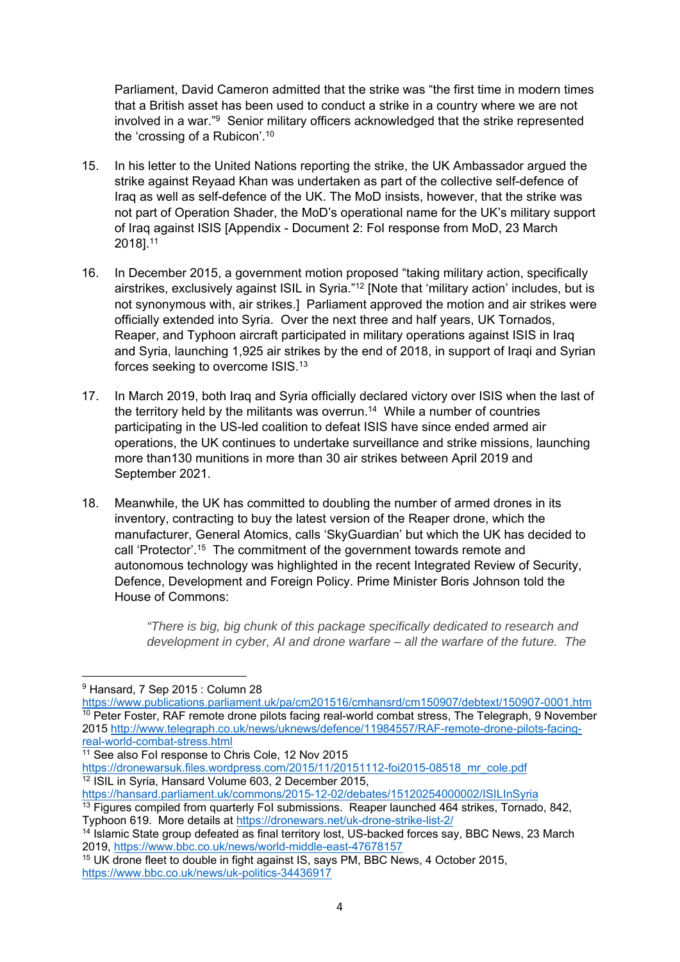Parliament, David Cameron admitted that the strike was "the first time in modern times that a British asset has been used to conduct a strike in a country where we are not involved in a war."9 Senior military officers acknowledged that the strike represented the 'crossing of a Rubicon'.10

- 15. In his letter to the United Nations reporting the strike, the UK Ambassador argued the strike against Reyaad Khan was undertaken as part of the collective self-defence of Iraq as well as self-defence of the UK. The MoD insists, however, that the strike was not part of Operation Shader, the MoD's operational name for the UK's military support of Iraq against ISIS [Appendix - Document 2: FoI response from MoD, 23 March 2018].11
- 16. In December 2015, a government motion proposed "taking military action, specifically airstrikes, exclusively against ISIL in Syria."12 [Note that 'military action' includes, but is not synonymous with, air strikes.] Parliament approved the motion and air strikes were officially extended into Syria. Over the next three and half years, UK Tornados, Reaper, and Typhoon aircraft participated in military operations against ISIS in Iraq and Syria, launching 1,925 air strikes by the end of 2018, in support of Iraqi and Syrian forces seeking to overcome ISIS.13
- 17. In March 2019, both Iraq and Syria officially declared victory over ISIS when the last of the territory held by the militants was overrun.14 While a number of countries participating in the US-led coalition to defeat ISIS have since ended armed air operations, the UK continues to undertake surveillance and strike missions, launching more than130 munitions in more than 30 air strikes between April 2019 and September 2021.
- 18. Meanwhile, the UK has committed to doubling the number of armed drones in its inventory, contracting to buy the latest version of the Reaper drone, which the manufacturer, General Atomics, calls 'SkyGuardian' but which the UK has decided to call 'Protector'.15 The commitment of the government towards remote and autonomous technology was highlighted in the recent Integrated Review of Security, Defence, Development and Foreign Policy. Prime Minister Boris Johnson told the House of Commons:

*"There is big, big chunk of this package specifically dedicated to research and development in cyber, AI and drone warfare – all the warfare of the future. The* 

<sup>9</sup> Hansard, 7 Sep 2015 : Column 28

https://www.publications.parliament.uk/pa/cm201516/cmhansrd/cm150907/debtext/150907-0001.htm <sup>10</sup> Peter Foster, RAF remote drone pilots facing real-world combat stress, The Telegraph, 9 November 2015 http://www.telegraph.co.uk/news/uknews/defence/11984557/RAF-remote-drone-pilots-facing-<br>real-world-combat-stress.html

 $11$  See also FoI response to Chris Cole, 12 Nov 2015

https://dronewarsuk.files.wordpress.com/2015/11/20151112-foi2015-08518\_mr\_cole.pdf<sup>12</sup> ISIL in Syria, Hansard Volume 603, 2 December 2015,<br>https://hansard.parliament.uk/commons/2015-12-02/debates/15120254000002/ISILInSyria

 $\frac{13}{13}$  Figures compiled from quarterly FoI submissions. Reaper launched 464 strikes, Tornado, 842,

Typhoon 619. More details at https://dronewars.net/uk-drone-strike-list-2/<br><sup>14</sup> Islamic State group defeated as final territory lost, US-backed forces say, BBC News, 23 March<br>2019. https://www.bbc.co.uk/news/world-middle-e

<sup>&</sup>lt;sup>15</sup> UK drone fleet to double in fight against IS, says PM, BBC News, 4 October 2015, https://www.bbc.co.uk/news/uk-politics-34436917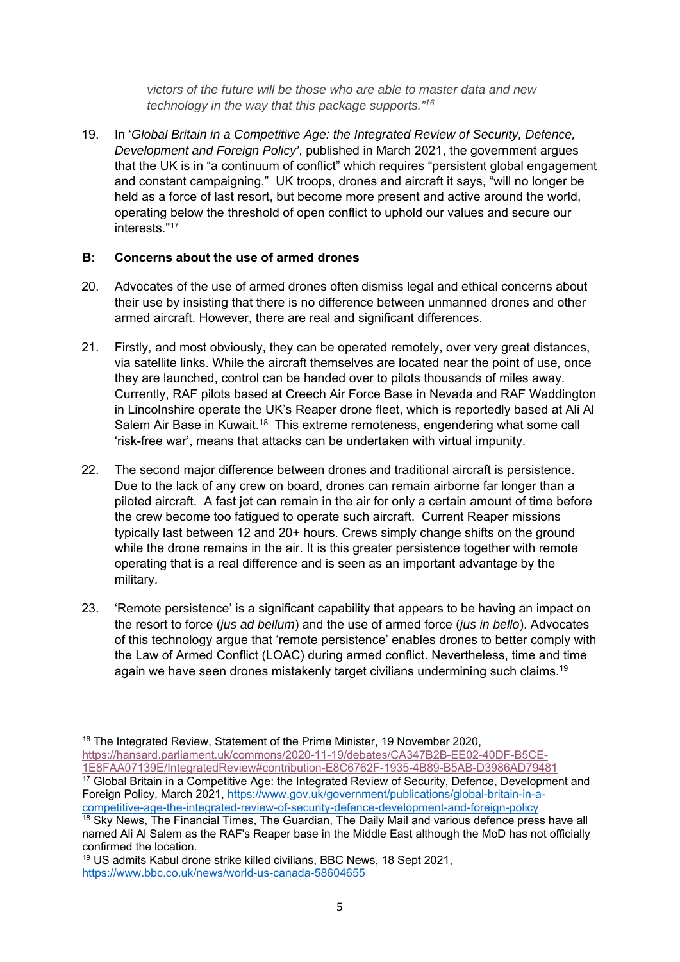*victors of the future will be those who are able to master data and new technology in the way that this package supports."16*

19. In '*Global Britain in a Competitive Age: the Integrated Review of Security, Defence, Development and Foreign Policy'*, published in March 2021, the government argues that the UK is in "a continuum of conflict" which requires "persistent global engagement and constant campaigning." UK troops, drones and aircraft it says, "will no longer be held as a force of last resort, but become more present and active around the world, operating below the threshold of open conflict to uphold our values and secure our interests<sup>"17</sup>

### **B: Concerns about the use of armed drones**

- 20. Advocates of the use of armed drones often dismiss legal and ethical concerns about their use by insisting that there is no difference between unmanned drones and other armed aircraft. However, there are real and significant differences.
- 21. Firstly, and most obviously, they can be operated remotely, over very great distances, via satellite links. While the aircraft themselves are located near the point of use, once they are launched, control can be handed over to pilots thousands of miles away. Currently, RAF pilots based at Creech Air Force Base in Nevada and RAF Waddington in Lincolnshire operate the UK's Reaper drone fleet, which is reportedly based at Ali Al Salem Air Base in Kuwait.18 This extreme remoteness, engendering what some call 'risk-free war', means that attacks can be undertaken with virtual impunity.
- 22. The second major difference between drones and traditional aircraft is persistence. Due to the lack of any crew on board, drones can remain airborne far longer than a piloted aircraft. A fast jet can remain in the air for only a certain amount of time before the crew become too fatigued to operate such aircraft. Current Reaper missions typically last between 12 and 20+ hours. Crews simply change shifts on the ground while the drone remains in the air. It is this greater persistence together with remote operating that is a real difference and is seen as an important advantage by the military.
- 23. 'Remote persistence' is a significant capability that appears to be having an impact on the resort to force (*jus ad bellum*) and the use of armed force (*jus in bello*). Advocates of this technology argue that 'remote persistence' enables drones to better comply with the Law of Armed Conflict (LOAC) during armed conflict. Nevertheless, time and time again we have seen drones mistakenly target civilians undermining such claims.<sup>19</sup>

<sup>&</sup>lt;sup>16</sup> The Integrated Review, Statement of the Prime Minister, 19 November 2020, https://hansard.parliament.uk/commons/2020-11-19/debates/CA347B2B-EE02-40DF-B5CE-<br>1E8FAA07139E/IntegratedReview#contribution-E8C6762F-1935-4B89-B5AB-D3986AD79481

 $17$  Global Britain in a Competitive Age: the Integrated Review of Security, Defence, Development and Foreign Policy, March 2021, https://www.gov.uk/government/publications/global-britain-in-a-<br>competitive-age-the-integrated-review-of-security-defence-development-and-foreign-policy

 $\frac{18}{18}$  Sky News. The Financial Times, The Guardian, The Daily Mail and various defence press have all named Ali Al Salem as the RAF's Reaper base in the Middle East although the MoD has not officially confirmed the location.

<sup>19</sup> US admits Kabul drone strike killed civilians, BBC News, 18 Sept 2021, https://www.bbc.co.uk/news/world-us-canada-58604655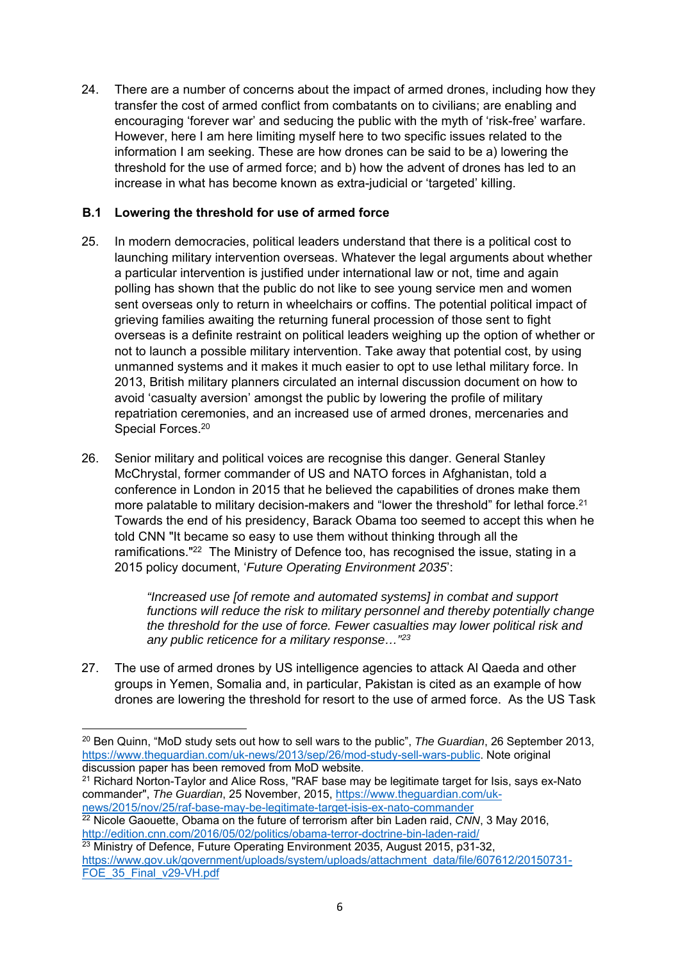24. There are a number of concerns about the impact of armed drones, including how they transfer the cost of armed conflict from combatants on to civilians; are enabling and encouraging 'forever war' and seducing the public with the myth of 'risk-free' warfare. However, here I am here limiting myself here to two specific issues related to the information I am seeking. These are how drones can be said to be a) lowering the threshold for the use of armed force; and b) how the advent of drones has led to an increase in what has become known as extra-judicial or 'targeted' killing.

## **B.1 Lowering the threshold for use of armed force**

- 25. In modern democracies, political leaders understand that there is a political cost to launching military intervention overseas. Whatever the legal arguments about whether a particular intervention is justified under international law or not, time and again polling has shown that the public do not like to see young service men and women sent overseas only to return in wheelchairs or coffins. The potential political impact of grieving families awaiting the returning funeral procession of those sent to fight overseas is a definite restraint on political leaders weighing up the option of whether or not to launch a possible military intervention. Take away that potential cost, by using unmanned systems and it makes it much easier to opt to use lethal military force. In 2013, British military planners circulated an internal discussion document on how to avoid 'casualty aversion' amongst the public by lowering the profile of military repatriation ceremonies, and an increased use of armed drones, mercenaries and Special Forces.<sup>20</sup>
- 26. Senior military and political voices are recognise this danger. General Stanley McChrystal, former commander of US and NATO forces in Afghanistan, told a conference in London in 2015 that he believed the capabilities of drones make them more palatable to military decision-makers and "lower the threshold" for lethal force.<sup>21</sup> Towards the end of his presidency, Barack Obama too seemed to accept this when he told CNN "It became so easy to use them without thinking through all the ramifications."22 The Ministry of Defence too, has recognised the issue, stating in a 2015 policy document, '*Future Operating Environment 2035*':

*"Increased use [of remote and automated systems] in combat and support functions will reduce the risk to military personnel and thereby potentially change the threshold for the use of force. Fewer casualties may lower political risk and any public reticence for a military response…"23*

27. The use of armed drones by US intelligence agencies to attack Al Qaeda and other groups in Yemen, Somalia and, in particular, Pakistan is cited as an example of how drones are lowering the threshold for resort to the use of armed force. As the US Task

<sup>22</sup> Nicole Gaouette, Obama on the future of terrorism after bin Laden raid, *CNN*, 3 May 2016,<br>http://edition.cnn.com/2016/05/02/politics/obama-terror-doctrine-bin-laden-raid/

<sup>20</sup> Ben Quinn, "MoD study sets out how to sell wars to the public", *The Guardian*, 26 September 2013, https://www.theguardian.com/uk-news/2013/sep/26/mod-study-sell-wars-public. Note original discussion paper has been removed from MoD website.

<sup>&</sup>lt;sup>21</sup> Richard Norton-Taylor and Alice Ross, "RAF base may be legitimate target for Isis, says ex-Nato commander", *The Guardian*, 25 November, 2015, https://www.theguardian.com/uk-<br>news/2015/nov/25/raf-base-may-be-legitimate-target-isis-ex-nato-commander

 $\frac{23}{23}$  Ministry of Defence. Future Operating Environment 2035. August 2015, p31-32, https://www.gov.uk/government/uploads/system/uploads/attachment\_data/file/607612/20150731- FOE 35 Final v29-VH.pdf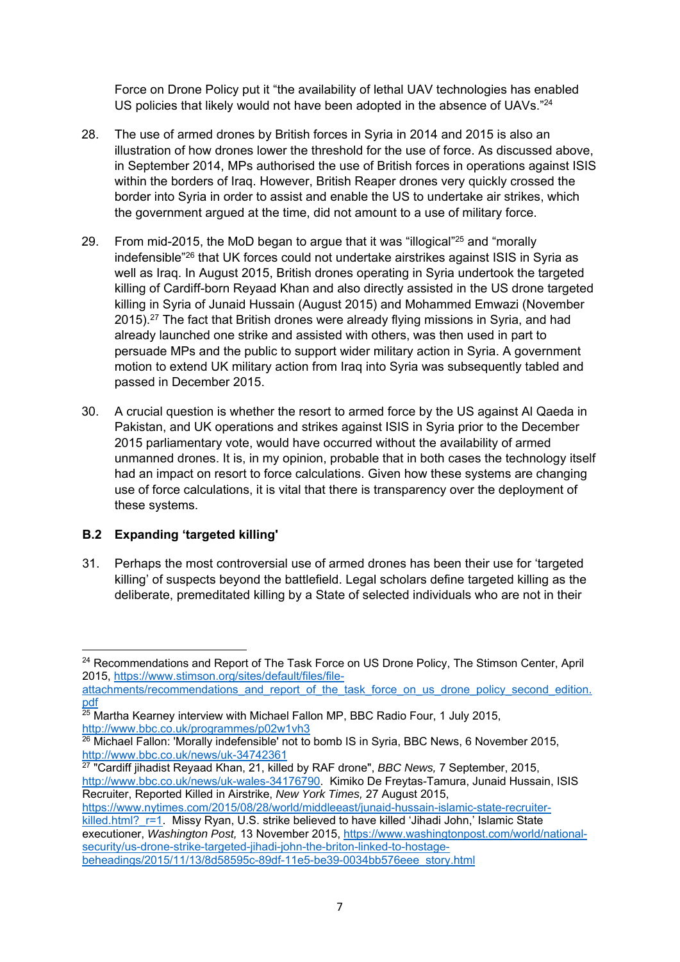Force on Drone Policy put it "the availability of lethal UAV technologies has enabled US policies that likely would not have been adopted in the absence of UAVs.<sup>"24</sup>

- 28. The use of armed drones by British forces in Syria in 2014 and 2015 is also an illustration of how drones lower the threshold for the use of force. As discussed above, in September 2014, MPs authorised the use of British forces in operations against ISIS within the borders of Iraq. However, British Reaper drones very quickly crossed the border into Syria in order to assist and enable the US to undertake air strikes, which the government argued at the time, did not amount to a use of military force.
- 29. From mid-2015, the MoD began to argue that it was "illogical"25 and "morally indefensible"26 that UK forces could not undertake airstrikes against ISIS in Syria as well as Iraq. In August 2015, British drones operating in Syria undertook the targeted killing of Cardiff-born Reyaad Khan and also directly assisted in the US drone targeted killing in Syria of Junaid Hussain (August 2015) and Mohammed Emwazi (November 2015).27 The fact that British drones were already flying missions in Syria, and had already launched one strike and assisted with others, was then used in part to persuade MPs and the public to support wider military action in Syria. A government motion to extend UK military action from Iraq into Syria was subsequently tabled and passed in December 2015.
- 30. A crucial question is whether the resort to armed force by the US against Al Qaeda in Pakistan, and UK operations and strikes against ISIS in Syria prior to the December 2015 parliamentary vote, would have occurred without the availability of armed unmanned drones. It is, in my opinion, probable that in both cases the technology itself had an impact on resort to force calculations. Given how these systems are changing use of force calculations, it is vital that there is transparency over the deployment of these systems.

# **B.2 Expanding 'targeted killing'**

31. Perhaps the most controversial use of armed drones has been their use for 'targeted killing' of suspects beyond the battlefield. Legal scholars define targeted killing as the deliberate, premeditated killing by a State of selected individuals who are not in their

attachments/recommendations\_and\_report\_of\_the\_task\_force\_on\_us\_drone\_policy\_second\_edition.

http://www.bbc.co.uk/news/uk-wales-34176790. Kimiko De Freytas-Tamura, Junaid Hussain, ISIS Recruiter, Reported Killed in Airstrike, *New York Times,* 27 August 2015,

https://www.nytimes.com/2015/08/28/world/middleeast/junaid-hussain-islamic-state-recruiter-

killed.html?\_r=1. Missy Ryan, U.S. strike believed to have killed 'Jihadi John,' Islamic State executioner, *Washington Post,* 13 November 2015, https://www.washingtonpost.com/world/nationalsecurity/us-drone-strike-targeted-jihadi-john-the-briton-linked-to-hostagebeheadings/2015/11/13/8d58595c-89df-11e5-be39-0034bb576eee\_story.html

<sup>&</sup>lt;sup>24</sup> Recommendations and Report of The Task Force on US Drone Policy, The Stimson Center, April 2015, https://www.stimson.org/sites/default/files/file-

pdf<br><sup>25</sup> Martha Kearney interview with Michael Fallon MP, BBC Radio Four, 1 July 2015,

<sup>&</sup>lt;sup>26</sup> Michael Fallon: 'Morally indefensible' not to bomb IS in Syria, BBC News, 6 November 2015, http://www.bbc.co.uk/news/uk-34742361 27 "Cardiff jihadist Reyaad Khan, 21, killed by RAF drone", *BBC News,* 7 September, 2015,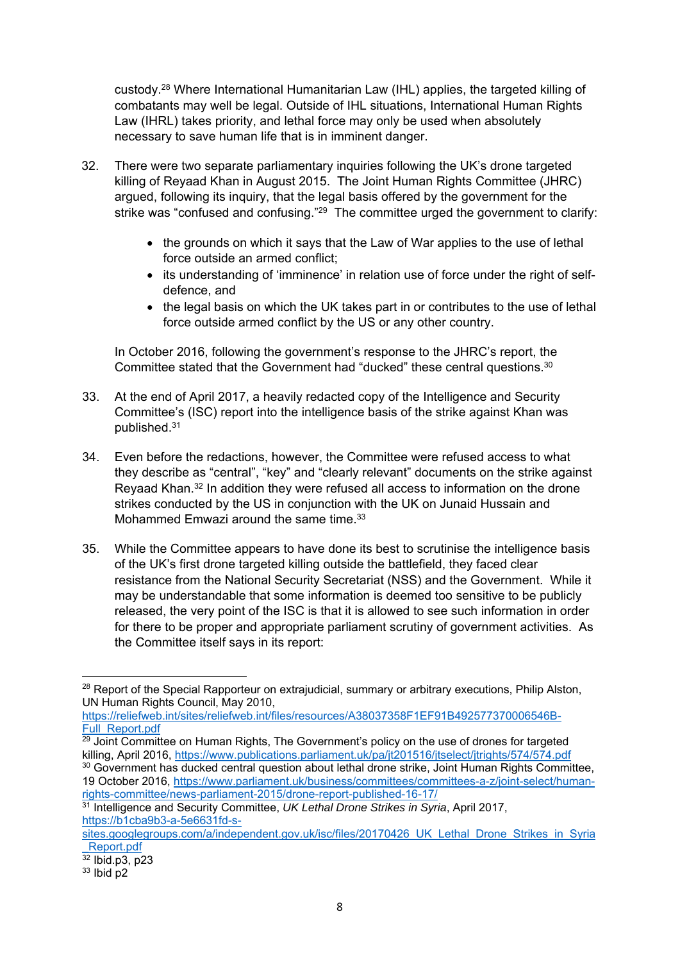custody.28 Where International Humanitarian Law (IHL) applies, the targeted killing of combatants may well be legal. Outside of IHL situations, International Human Rights Law (IHRL) takes priority, and lethal force may only be used when absolutely necessary to save human life that is in imminent danger.

- 32. There were two separate parliamentary inquiries following the UK's drone targeted killing of Reyaad Khan in August 2015. The Joint Human Rights Committee (JHRC) argued, following its inquiry, that the legal basis offered by the government for the strike was "confused and confusing."<sup>29</sup> The committee urged the government to clarify:
	- the grounds on which it says that the Law of War applies to the use of lethal force outside an armed conflict;
	- its understanding of 'imminence' in relation use of force under the right of selfdefence, and
	- the legal basis on which the UK takes part in or contributes to the use of lethal force outside armed conflict by the US or any other country.

In October 2016, following the government's response to the JHRC's report, the Committee stated that the Government had "ducked" these central questions.<sup>30</sup>

- 33. At the end of April 2017, a heavily redacted copy of the Intelligence and Security Committee's (ISC) report into the intelligence basis of the strike against Khan was published.31
- 34. Even before the redactions, however, the Committee were refused access to what they describe as "central", "key" and "clearly relevant" documents on the strike against Reyaad Khan.32 In addition they were refused all access to information on the drone strikes conducted by the US in conjunction with the UK on Junaid Hussain and Mohammed Emwazi around the same time.<sup>33</sup>
- 35. While the Committee appears to have done its best to scrutinise the intelligence basis of the UK's first drone targeted killing outside the battlefield, they faced clear resistance from the National Security Secretariat (NSS) and the Government. While it may be understandable that some information is deemed too sensitive to be publicly released, the very point of the ISC is that it is allowed to see such information in order for there to be proper and appropriate parliament scrutiny of government activities. As the Committee itself says in its report:

https://reliefweb.int/sites/reliefweb.int/files/resources/A38037358F1EF91B492577370006546B-

Full\_Report.pdf<br><sup>29</sup> Joint Committee on Human Rights, The Government's policy on the use of drones for targeted<br>killing, April 2016, https://www.publications.parliament.uk/pa/jt201516/jtselect/jtrights/574/574.pdf 30 Government has ducked central question about lethal drone strike, Joint Human Rights Committee, 19 October 2016, https://www.parliament.uk/business/committees/committees-a-z/joint-select/human-<br>rights-committee/news-parliament-2015/drone-report-published-16-17/

<sup>&</sup>lt;sup>28</sup> Report of the Special Rapporteur on extrajudicial, summary or arbitrary executions, Philip Alston, UN Human Rights Council, May 2010,

<sup>&</sup>lt;sup>31</sup> Intelligence and Security Committee, UK Lethal Drone Strikes in Syria, April 2017, https://b1cba9b3-a-5e6631fd-s-

sites.googlegroups.com/a/independent.gov.uk/isc/files/20170426\_UK\_Lethal\_Drone\_Strikes\_in\_Syria  $\frac{\text{Report.pdf}}{32 \text{ lbid.p3, p23}}$ 

 $33$  Ibid p2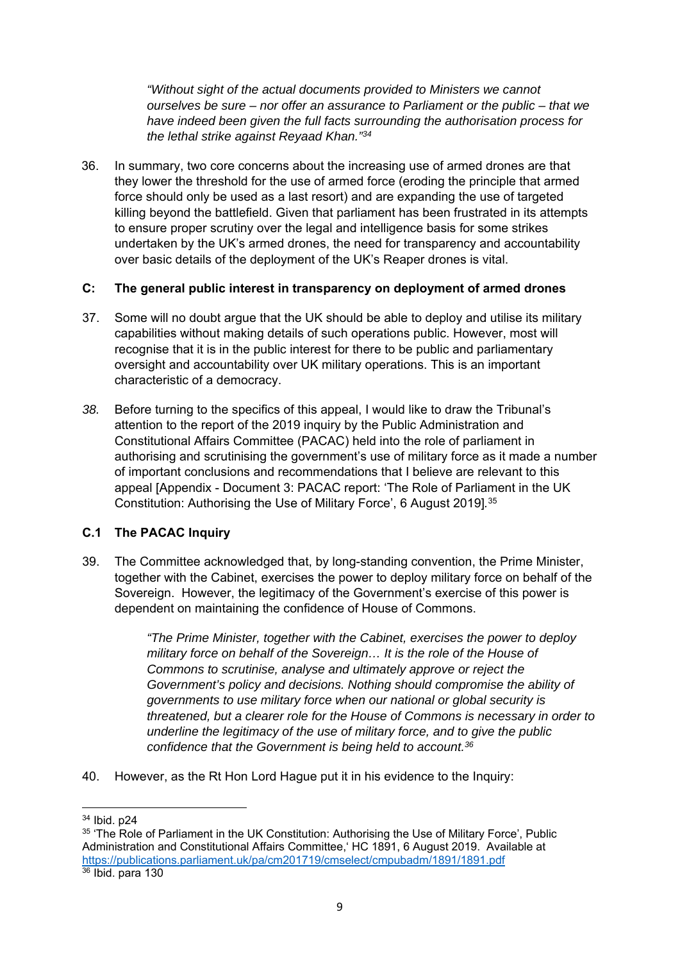*"Without sight of the actual documents provided to Ministers we cannot ourselves be sure – nor offer an assurance to Parliament or the public – that we have indeed been given the full facts surrounding the authorisation process for the lethal strike against Reyaad Khan."34*

36. In summary, two core concerns about the increasing use of armed drones are that they lower the threshold for the use of armed force (eroding the principle that armed force should only be used as a last resort) and are expanding the use of targeted killing beyond the battlefield. Given that parliament has been frustrated in its attempts to ensure proper scrutiny over the legal and intelligence basis for some strikes undertaken by the UK's armed drones, the need for transparency and accountability over basic details of the deployment of the UK's Reaper drones is vital.

#### **C: The general public interest in transparency on deployment of armed drones**

- 37. Some will no doubt argue that the UK should be able to deploy and utilise its military capabilities without making details of such operations public. However, most will recognise that it is in the public interest for there to be public and parliamentary oversight and accountability over UK military operations. This is an important characteristic of a democracy.
- *38.* Before turning to the specifics of this appeal, I would like to draw the Tribunal's attention to the report of the 2019 inquiry by the Public Administration and Constitutional Affairs Committee (PACAC) held into the role of parliament in authorising and scrutinising the government's use of military force as it made a number of important conclusions and recommendations that I believe are relevant to this appeal [Appendix - Document 3: PACAC report: 'The Role of Parliament in the UK Constitution: Authorising the Use of Military Force', 6 August 2019]*.* 35

# **C.1 The PACAC Inquiry**

39. The Committee acknowledged that, by long-standing convention, the Prime Minister, together with the Cabinet, exercises the power to deploy military force on behalf of the Sovereign. However, the legitimacy of the Government's exercise of this power is dependent on maintaining the confidence of House of Commons.

> *"The Prime Minister, together with the Cabinet, exercises the power to deploy military force on behalf of the Sovereign… It is the role of the House of Commons to scrutinise, analyse and ultimately approve or reject the Government's policy and decisions. Nothing should compromise the ability of governments to use military force when our national or global security is threatened, but a clearer role for the House of Commons is necessary in order to underline the legitimacy of the use of military force, and to give the public confidence that the Government is being held to account.36*

40. However, as the Rt Hon Lord Hague put it in his evidence to the Inquiry:

<sup>34</sup> Ibid. p24

<sup>&</sup>lt;sup>35</sup> 'The Role of Parliament in the UK Constitution: Authorising the Use of Military Force', Public Administration and Constitutional Affairs Committee,' HC 1891, 6 August 2019. Available at https://publications.parliament.uk/pa/cm201719/cmselect/cmpubadm/1891/1891.pdf<br><sup>36</sup> Ibid. para 130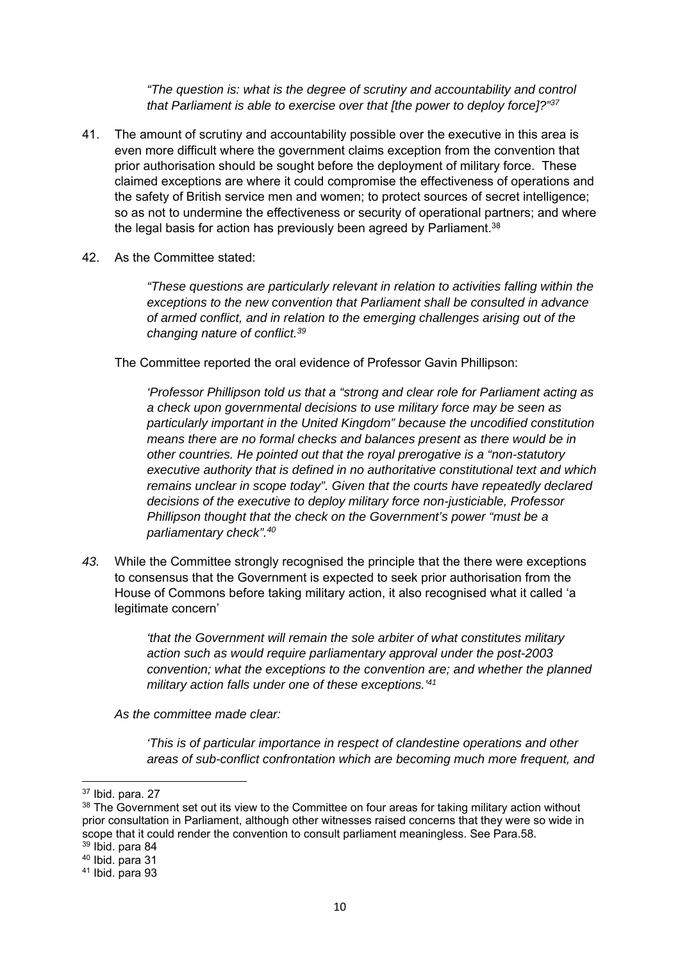*"The question is: what is the degree of scrutiny and accountability and control that Parliament is able to exercise over that [the power to deploy force]?"37* 

- 41. The amount of scrutiny and accountability possible over the executive in this area is even more difficult where the government claims exception from the convention that prior authorisation should be sought before the deployment of military force. These claimed exceptions are where it could compromise the effectiveness of operations and the safety of British service men and women; to protect sources of secret intelligence; so as not to undermine the effectiveness or security of operational partners; and where the legal basis for action has previously been agreed by Parliament.<sup>38</sup>
- 42. As the Committee stated:

*"These questions are particularly relevant in relation to activities falling within the exceptions to the new convention that Parliament shall be consulted in advance of armed conflict, and in relation to the emerging challenges arising out of the changing nature of conflict.39*

The Committee reported the oral evidence of Professor Gavin Phillipson:

*'Professor Phillipson told us that a "strong and clear role for Parliament acting as a check upon governmental decisions to use military force may be seen as particularly important in the United Kingdom" because the uncodified constitution means there are no formal checks and balances present as there would be in other countries. He pointed out that the royal prerogative is a "non-statutory executive authority that is defined in no authoritative constitutional text and which remains unclear in scope today". Given that the courts have repeatedly declared decisions of the executive to deploy military force non-justiciable, Professor Phillipson thought that the check on the Government's power "must be a parliamentary check".40*

*43.* While the Committee strongly recognised the principle that the there were exceptions to consensus that the Government is expected to seek prior authorisation from the House of Commons before taking military action, it also recognised what it called 'a legitimate concern'

> *'that the Government will remain the sole arbiter of what constitutes military action such as would require parliamentary approval under the post-2003 convention; what the exceptions to the convention are; and whether the planned military action falls under one of these exceptions.'41*

*As the committee made clear:* 

*'This is of particular importance in respect of clandestine operations and other areas of sub-conflict confrontation which are becoming much more frequent, and* 

<sup>37</sup> Ibid. para. 27

 $38$  The Government set out its view to the Committee on four areas for taking military action without prior consultation in Parliament, although other witnesses raised concerns that they were so wide in scope that it could render the convention to consult parliament meaningless. See Para.58.

<sup>39</sup> Ibid. para 84

<sup>40</sup> Ibid. para 31

 $41$  Ibid. para 93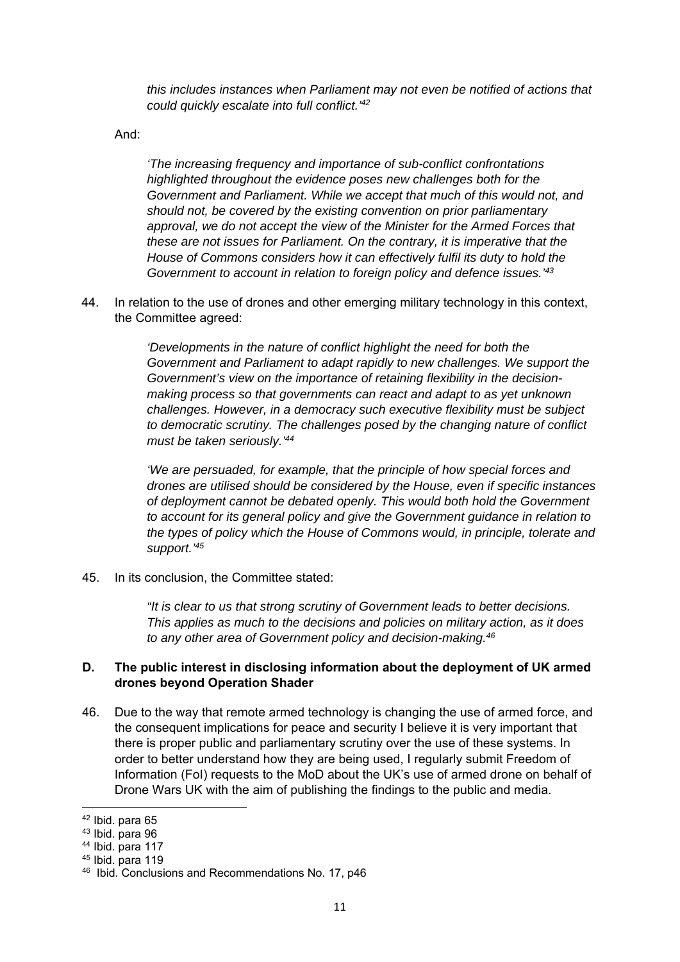*this includes instances when Parliament may not even be notified of actions that could quickly escalate into full conflict.'42* 

And:

*'The increasing frequency and importance of sub-conflict confrontations highlighted throughout the evidence poses new challenges both for the Government and Parliament. While we accept that much of this would not, and should not, be covered by the existing convention on prior parliamentary*  approval, we do not accept the view of the Minister for the Armed Forces that *these are not issues for Parliament. On the contrary, it is imperative that the House of Commons considers how it can effectively fulfil its duty to hold the Government to account in relation to foreign policy and defence issues.'43*

44. In relation to the use of drones and other emerging military technology in this context, the Committee agreed:

> *'Developments in the nature of conflict highlight the need for both the Government and Parliament to adapt rapidly to new challenges. We support the Government's view on the importance of retaining flexibility in the decisionmaking process so that governments can react and adapt to as yet unknown challenges. However, in a democracy such executive flexibility must be subject to democratic scrutiny. The challenges posed by the changing nature of conflict must be taken seriously.'44*

*'We are persuaded, for example, that the principle of how special forces and drones are utilised should be considered by the House, even if specific instances of deployment cannot be debated openly. This would both hold the Government to account for its general policy and give the Government guidance in relation to the types of policy which the House of Commons would, in principle, tolerate and support.'45*

45. In its conclusion, the Committee stated:

*"It is clear to us that strong scrutiny of Government leads to better decisions. This applies as much to the decisions and policies on military action, as it does to any other area of Government policy and decision-making.46* 

### **D. The public interest in disclosing information about the deployment of UK armed drones beyond Operation Shader**

46. Due to the way that remote armed technology is changing the use of armed force, and the consequent implications for peace and security I believe it is very important that there is proper public and parliamentary scrutiny over the use of these systems. In order to better understand how they are being used, I regularly submit Freedom of Information (FoI) requests to the MoD about the UK's use of armed drone on behalf of Drone Wars UK with the aim of publishing the findings to the public and media.

<sup>42</sup> Ibid. para 65

<sup>43</sup> Ibid. para 96

 $44$  Ibid. para 117

<sup>45</sup> Ibid. para 119

<sup>46</sup> Ibid. Conclusions and Recommendations No. 17, p46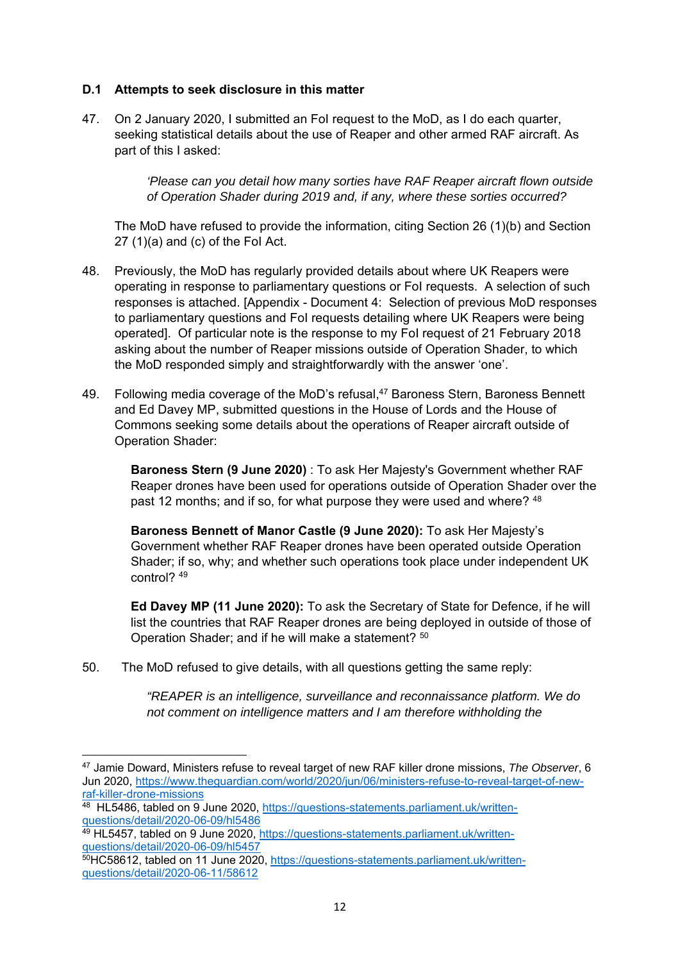#### **D.1 Attempts to seek disclosure in this matter**

47. On 2 January 2020, I submitted an FoI request to the MoD, as I do each quarter, seeking statistical details about the use of Reaper and other armed RAF aircraft. As part of this I asked:

> *'Please can you detail how many sorties have RAF Reaper aircraft flown outside of Operation Shader during 2019 and, if any, where these sorties occurred?*

The MoD have refused to provide the information, citing Section 26 (1)(b) and Section  $27(1)(a)$  and (c) of the Fol Act.

- 48. Previously, the MoD has regularly provided details about where UK Reapers were operating in response to parliamentary questions or FoI requests. A selection of such responses is attached. [Appendix - Document 4: Selection of previous MoD responses to parliamentary questions and FoI requests detailing where UK Reapers were being operated]. Of particular note is the response to my FoI request of 21 February 2018 asking about the number of Reaper missions outside of Operation Shader, to which the MoD responded simply and straightforwardly with the answer 'one'.
- 49. Following media coverage of the MoD's refusal,<sup>47</sup> Baroness Stern, Baroness Bennett and Ed Davey MP, submitted questions in the House of Lords and the House of Commons seeking some details about the operations of Reaper aircraft outside of Operation Shader:

**Baroness Stern (9 June 2020)** : To ask Her Majesty's Government whether RAF Reaper drones have been used for operations outside of Operation Shader over the past 12 months; and if so, for what purpose they were used and where? 48

**Baroness Bennett of Manor Castle (9 June 2020):** To ask Her Majesty's Government whether RAF Reaper drones have been operated outside Operation Shader; if so, why; and whether such operations took place under independent UK control? 49

**Ed Davey MP (11 June 2020):** To ask the Secretary of State for Defence, if he will list the countries that RAF Reaper drones are being deployed in outside of those of Operation Shader; and if he will make a statement? 50

50. The MoD refused to give details, with all questions getting the same reply:

*"REAPER is an intelligence, surveillance and reconnaissance platform. We do not comment on intelligence matters and I am therefore withholding the* 

<sup>47</sup> Jamie Doward, Ministers refuse to reveal target of new RAF killer drone missions, *The Observer*, 6 Jun 2020, https://www.theguardian.com/world/2020/jun/06/ministers-refuse-to-reveal-target-of-new-<br>raf-killer-drone-missions

<sup>&</sup>lt;sup>48</sup> HL5486, tabled on 9 June 2020, https://questions-statements.parliament.uk/writtenquestions/detail/2020-06-09/hl5486

<sup>49</sup> HL5457, tabled on 9 June 2020, https://questions-statements.parliament.uk/written-<br>questions/detail/2020-06-09/hl5457

<sup>50</sup>HC58612, tabled on 11 June 2020, https://questions-statements.parliament.uk/writtenquestions/detail/2020-06-11/58612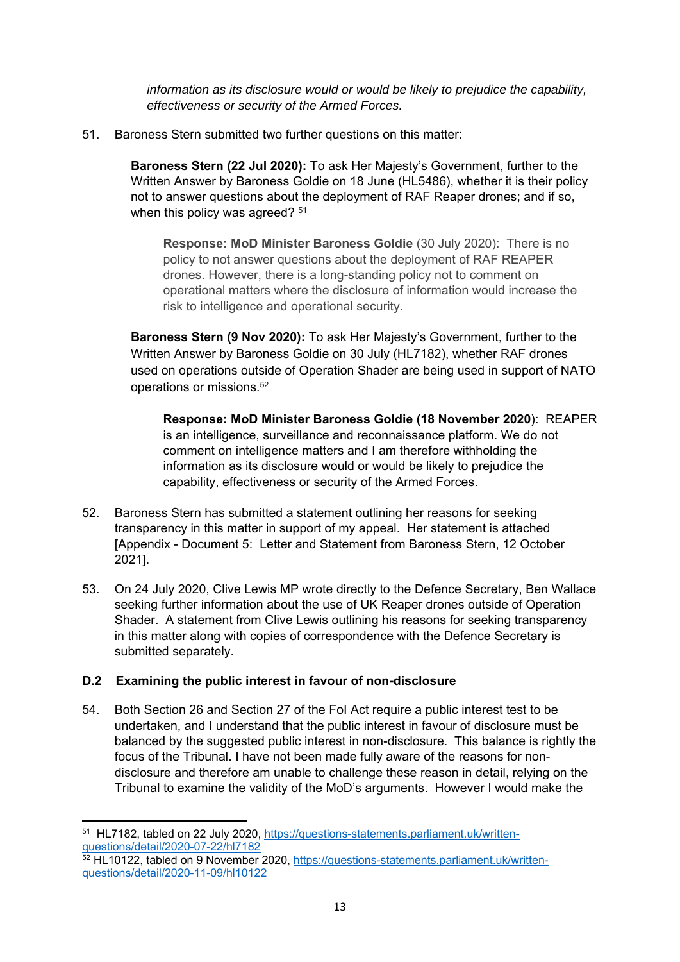*information as its disclosure would or would be likely to prejudice the capability, effectiveness or security of the Armed Forces.* 

51. Baroness Stern submitted two further questions on this matter:

**Baroness Stern (22 Jul 2020):** To ask Her Majesty's Government, further to the Written Answer by Baroness Goldie on 18 June (HL5486), whether it is their policy not to answer questions about the deployment of RAF Reaper drones; and if so, when this policy was agreed? <sup>51</sup>

**Response: MoD Minister Baroness Goldie** (30 July 2020): There is no policy to not answer questions about the deployment of RAF REAPER drones. However, there is a long-standing policy not to comment on operational matters where the disclosure of information would increase the risk to intelligence and operational security.

**Baroness Stern (9 Nov 2020):** To ask Her Majesty's Government, further to the Written Answer by Baroness Goldie on 30 July (HL7182), whether RAF drones used on operations outside of Operation Shader are being used in support of NATO operations or missions.52

**Response: MoD Minister Baroness Goldie (18 November 2020**): REAPER is an intelligence, surveillance and reconnaissance platform. We do not comment on intelligence matters and I am therefore withholding the information as its disclosure would or would be likely to prejudice the capability, effectiveness or security of the Armed Forces.

- 52. Baroness Stern has submitted a statement outlining her reasons for seeking transparency in this matter in support of my appeal. Her statement is attached [Appendix - Document 5: Letter and Statement from Baroness Stern, 12 October 2021].
- 53. On 24 July 2020, Clive Lewis MP wrote directly to the Defence Secretary, Ben Wallace seeking further information about the use of UK Reaper drones outside of Operation Shader. A statement from Clive Lewis outlining his reasons for seeking transparency in this matter along with copies of correspondence with the Defence Secretary is submitted separately.

# **D.2 Examining the public interest in favour of non-disclosure**

54. Both Section 26 and Section 27 of the FoI Act require a public interest test to be undertaken, and I understand that the public interest in favour of disclosure must be balanced by the suggested public interest in non-disclosure. This balance is rightly the focus of the Tribunal. I have not been made fully aware of the reasons for nondisclosure and therefore am unable to challenge these reason in detail, relying on the Tribunal to examine the validity of the MoD's arguments. However I would make the

<sup>&</sup>lt;sup>51</sup> HL7182, tabled on 22 July 2020, https://questions-statements.parliament.uk/written-<br>questions/detail/2020-07-22/hl7182

<sup>52</sup> HL10122, tabled on 9 November 2020, https://questions-statements.parliament.uk/writtenquestions/detail/2020-11-09/hl10122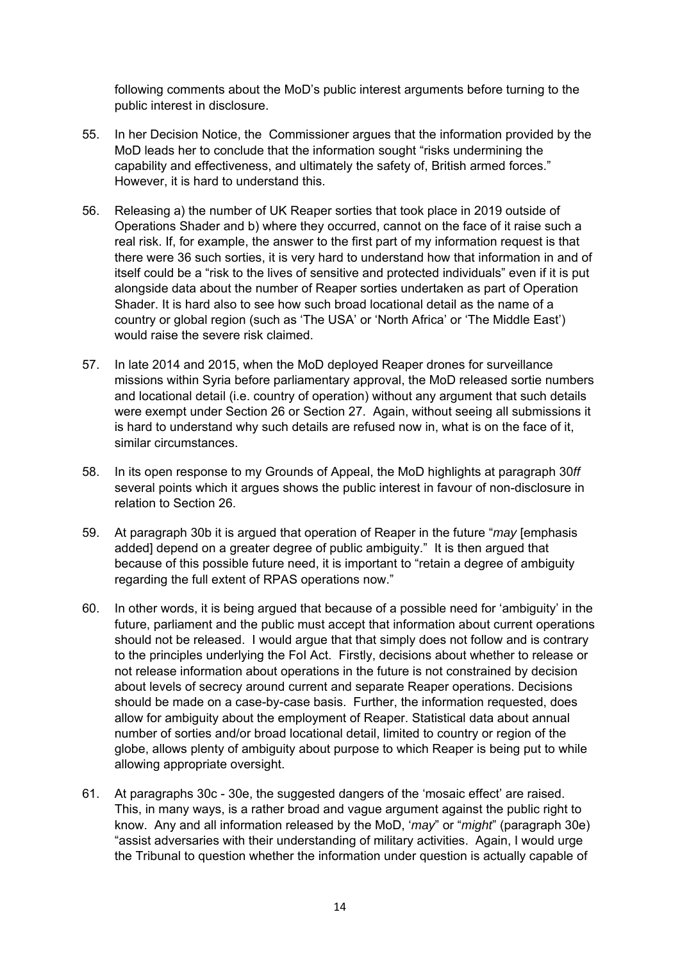following comments about the MoD's public interest arguments before turning to the public interest in disclosure.

- 55. In her Decision Notice, the Commissioner argues that the information provided by the MoD leads her to conclude that the information sought "risks undermining the capability and effectiveness, and ultimately the safety of, British armed forces." However, it is hard to understand this.
- 56. Releasing a) the number of UK Reaper sorties that took place in 2019 outside of Operations Shader and b) where they occurred, cannot on the face of it raise such a real risk. If, for example, the answer to the first part of my information request is that there were 36 such sorties, it is very hard to understand how that information in and of itself could be a "risk to the lives of sensitive and protected individuals" even if it is put alongside data about the number of Reaper sorties undertaken as part of Operation Shader. It is hard also to see how such broad locational detail as the name of a country or global region (such as 'The USA' or 'North Africa' or 'The Middle East') would raise the severe risk claimed.
- 57. In late 2014 and 2015, when the MoD deployed Reaper drones for surveillance missions within Syria before parliamentary approval, the MoD released sortie numbers and locational detail (i.e. country of operation) without any argument that such details were exempt under Section 26 or Section 27. Again, without seeing all submissions it is hard to understand why such details are refused now in, what is on the face of it, similar circumstances.
- 58. In its open response to my Grounds of Appeal, the MoD highlights at paragraph 30*ff*  several points which it argues shows the public interest in favour of non-disclosure in relation to Section 26.
- 59. At paragraph 30b it is argued that operation of Reaper in the future "*may* [emphasis added] depend on a greater degree of public ambiguity." It is then argued that because of this possible future need, it is important to "retain a degree of ambiguity regarding the full extent of RPAS operations now."
- 60. In other words, it is being argued that because of a possible need for 'ambiguity' in the future, parliament and the public must accept that information about current operations should not be released. I would argue that that simply does not follow and is contrary to the principles underlying the FoI Act. Firstly, decisions about whether to release or not release information about operations in the future is not constrained by decision about levels of secrecy around current and separate Reaper operations. Decisions should be made on a case-by-case basis. Further, the information requested, does allow for ambiguity about the employment of Reaper. Statistical data about annual number of sorties and/or broad locational detail, limited to country or region of the globe, allows plenty of ambiguity about purpose to which Reaper is being put to while allowing appropriate oversight.
- 61. At paragraphs 30c 30e, the suggested dangers of the 'mosaic effect' are raised. This, in many ways, is a rather broad and vague argument against the public right to know. Any and all information released by the MoD, '*may*" or "*might*" (paragraph 30e) "assist adversaries with their understanding of military activities. Again, I would urge the Tribunal to question whether the information under question is actually capable of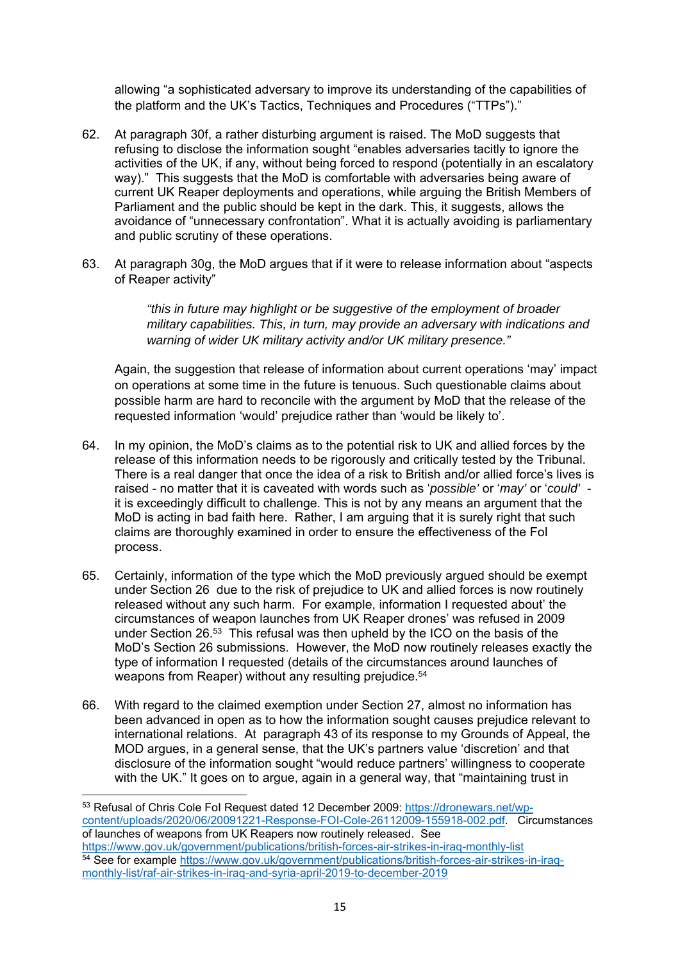allowing "a sophisticated adversary to improve its understanding of the capabilities of the platform and the UK's Tactics, Techniques and Procedures ("TTPs")."

- 62. At paragraph 30f, a rather disturbing argument is raised. The MoD suggests that refusing to disclose the information sought "enables adversaries tacitly to ignore the activities of the UK, if any, without being forced to respond (potentially in an escalatory way)." This suggests that the MoD is comfortable with adversaries being aware of current UK Reaper deployments and operations, while arguing the British Members of Parliament and the public should be kept in the dark. This, it suggests, allows the avoidance of "unnecessary confrontation". What it is actually avoiding is parliamentary and public scrutiny of these operations.
- 63. At paragraph 30g, the MoD argues that if it were to release information about "aspects of Reaper activity"

*"this in future may highlight or be suggestive of the employment of broader military capabilities. This, in turn, may provide an adversary with indications and warning of wider UK military activity and/or UK military presence."* 

Again, the suggestion that release of information about current operations 'may' impact on operations at some time in the future is tenuous. Such questionable claims about possible harm are hard to reconcile with the argument by MoD that the release of the requested information 'would' prejudice rather than 'would be likely to'.

- 64. In my opinion, the MoD's claims as to the potential risk to UK and allied forces by the release of this information needs to be rigorously and critically tested by the Tribunal. There is a real danger that once the idea of a risk to British and/or allied force's lives is raised - no matter that it is caveated with words such as '*possible'* or '*may'* or '*could'* it is exceedingly difficult to challenge. This is not by any means an argument that the MoD is acting in bad faith here. Rather, I am arguing that it is surely right that such claims are thoroughly examined in order to ensure the effectiveness of the FoI process.
- 65. Certainly, information of the type which the MoD previously argued should be exempt under Section 26 due to the risk of prejudice to UK and allied forces is now routinely released without any such harm. For example, information I requested about' the circumstances of weapon launches from UK Reaper drones' was refused in 2009 under Section 26.53 This refusal was then upheld by the ICO on the basis of the MoD's Section 26 submissions. However, the MoD now routinely releases exactly the type of information I requested (details of the circumstances around launches of weapons from Reaper) without any resulting prejudice.<sup>54</sup>
- 66. With regard to the claimed exemption under Section 27, almost no information has been advanced in open as to how the information sought causes prejudice relevant to international relations. At paragraph 43 of its response to my Grounds of Appeal, the MOD argues, in a general sense, that the UK's partners value 'discretion' and that disclosure of the information sought "would reduce partners' willingness to cooperate with the UK." It goes on to argue, again in a general way, that "maintaining trust in

<sup>53</sup> Refusal of Chris Cole FoI Request dated 12 December 2009: https://dronewars.net/wpcontent/uploads/2020/06/20091221-Response-FOI-Cole-26112009-155918-002.pdf. Circumstances of launches of weapons from UK Reapers now routinely released. See<br>https://www.gov.uk/government/publications/british-forces-air-strikes-in-irag-monthly-list 54 See for example https://www.gov.uk/government/publications/british-forces-air-strikes-in-iraqmonthly-list/raf-air-strikes-in-iraq-and-syria-april-2019-to-december-2019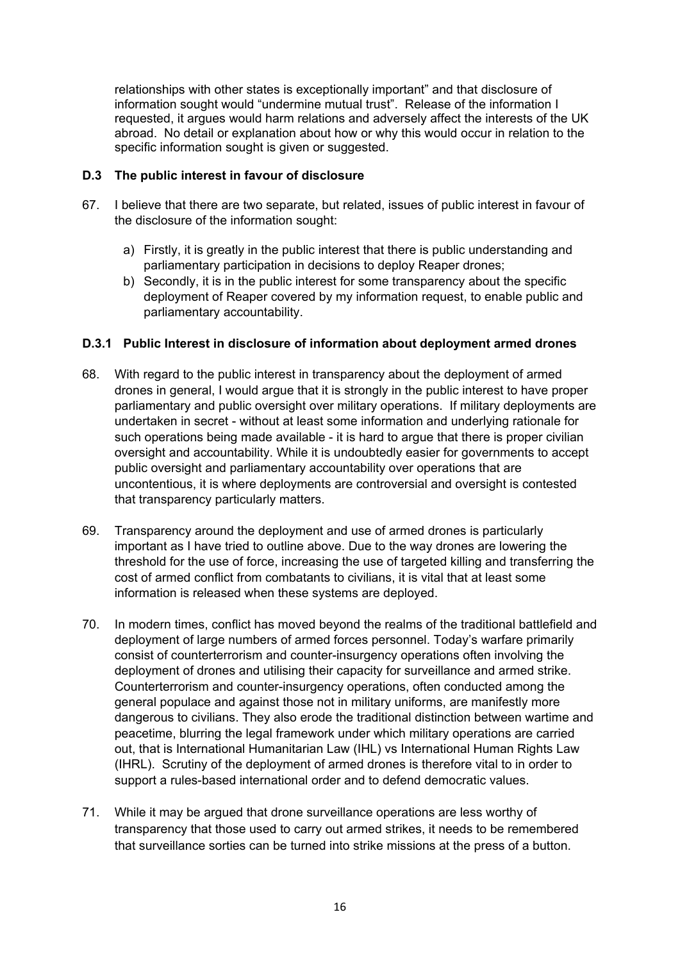relationships with other states is exceptionally important" and that disclosure of information sought would "undermine mutual trust". Release of the information I requested, it argues would harm relations and adversely affect the interests of the UK abroad. No detail or explanation about how or why this would occur in relation to the specific information sought is given or suggested.

### **D.3 The public interest in favour of disclosure**

- 67. I believe that there are two separate, but related, issues of public interest in favour of the disclosure of the information sought:
	- a) Firstly, it is greatly in the public interest that there is public understanding and parliamentary participation in decisions to deploy Reaper drones;
	- b) Secondly, it is in the public interest for some transparency about the specific deployment of Reaper covered by my information request, to enable public and parliamentary accountability.

### **D.3.1 Public Interest in disclosure of information about deployment armed drones**

- 68. With regard to the public interest in transparency about the deployment of armed drones in general, I would argue that it is strongly in the public interest to have proper parliamentary and public oversight over military operations. If military deployments are undertaken in secret - without at least some information and underlying rationale for such operations being made available - it is hard to argue that there is proper civilian oversight and accountability. While it is undoubtedly easier for governments to accept public oversight and parliamentary accountability over operations that are uncontentious, it is where deployments are controversial and oversight is contested that transparency particularly matters.
- 69. Transparency around the deployment and use of armed drones is particularly important as I have tried to outline above. Due to the way drones are lowering the threshold for the use of force, increasing the use of targeted killing and transferring the cost of armed conflict from combatants to civilians, it is vital that at least some information is released when these systems are deployed.
- 70. In modern times, conflict has moved beyond the realms of the traditional battlefield and deployment of large numbers of armed forces personnel. Today's warfare primarily consist of counterterrorism and counter-insurgency operations often involving the deployment of drones and utilising their capacity for surveillance and armed strike. Counterterrorism and counter-insurgency operations, often conducted among the general populace and against those not in military uniforms, are manifestly more dangerous to civilians. They also erode the traditional distinction between wartime and peacetime, blurring the legal framework under which military operations are carried out, that is International Humanitarian Law (IHL) vs International Human Rights Law (IHRL). Scrutiny of the deployment of armed drones is therefore vital to in order to support a rules-based international order and to defend democratic values.
- 71. While it may be argued that drone surveillance operations are less worthy of transparency that those used to carry out armed strikes, it needs to be remembered that surveillance sorties can be turned into strike missions at the press of a button.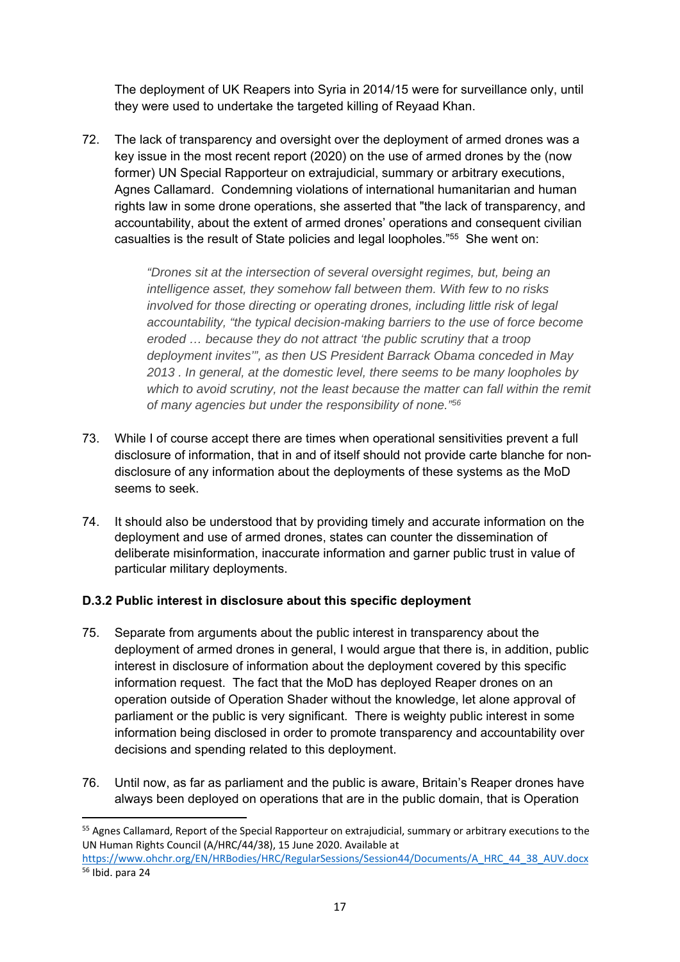The deployment of UK Reapers into Syria in 2014/15 were for surveillance only, until they were used to undertake the targeted killing of Reyaad Khan.

72. The lack of transparency and oversight over the deployment of armed drones was a key issue in the most recent report (2020) on the use of armed drones by the (now former) UN Special Rapporteur on extrajudicial, summary or arbitrary executions, Agnes Callamard. Condemning violations of international humanitarian and human rights law in some drone operations, she asserted that "the lack of transparency, and accountability, about the extent of armed drones' operations and consequent civilian casualties is the result of State policies and legal loopholes."55 She went on:

> *"Drones sit at the intersection of several oversight regimes, but, being an intelligence asset, they somehow fall between them. With few to no risks involved for those directing or operating drones, including little risk of legal accountability, "the typical decision-making barriers to the use of force become eroded … because they do not attract 'the public scrutiny that a troop deployment invites'", as then US President Barrack Obama conceded in May 2013 . In general, at the domestic level, there seems to be many loopholes by which to avoid scrutiny, not the least because the matter can fall within the remit of many agencies but under the responsibility of none."56*

- 73. While I of course accept there are times when operational sensitivities prevent a full disclosure of information, that in and of itself should not provide carte blanche for nondisclosure of any information about the deployments of these systems as the MoD seems to seek.
- 74. It should also be understood that by providing timely and accurate information on the deployment and use of armed drones, states can counter the dissemination of deliberate misinformation, inaccurate information and garner public trust in value of particular military deployments.

# **D.3.2 Public interest in disclosure about this specific deployment**

- 75. Separate from arguments about the public interest in transparency about the deployment of armed drones in general, I would argue that there is, in addition, public interest in disclosure of information about the deployment covered by this specific information request. The fact that the MoD has deployed Reaper drones on an operation outside of Operation Shader without the knowledge, let alone approval of parliament or the public is very significant. There is weighty public interest in some information being disclosed in order to promote transparency and accountability over decisions and spending related to this deployment.
- 76. Until now, as far as parliament and the public is aware, Britain's Reaper drones have always been deployed on operations that are in the public domain, that is Operation

<sup>&</sup>lt;sup>55</sup> Agnes Callamard, Report of the Special Rapporteur on extrajudicial, summary or arbitrary executions to the UN Human Rights Council (A/HRC/44/38), 15 June 2020. Available at

https://www.ohchr.org/EN/HRBodies/HRC/RegularSessions/Session44/Documents/A\_HRC\_44\_38\_AUV.docx 56 Ibid. para 24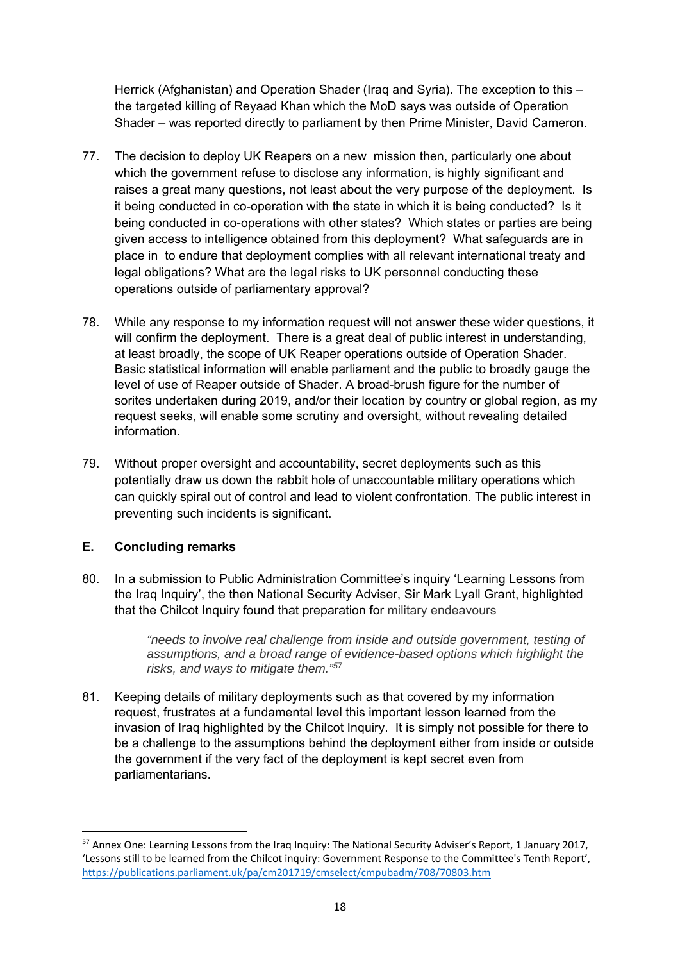Herrick (Afghanistan) and Operation Shader (Iraq and Syria). The exception to this – the targeted killing of Reyaad Khan which the MoD says was outside of Operation Shader – was reported directly to parliament by then Prime Minister, David Cameron.

- 77. The decision to deploy UK Reapers on a new mission then, particularly one about which the government refuse to disclose any information, is highly significant and raises a great many questions, not least about the very purpose of the deployment. Is it being conducted in co-operation with the state in which it is being conducted? Is it being conducted in co-operations with other states? Which states or parties are being given access to intelligence obtained from this deployment? What safeguards are in place in to endure that deployment complies with all relevant international treaty and legal obligations? What are the legal risks to UK personnel conducting these operations outside of parliamentary approval?
- 78. While any response to my information request will not answer these wider questions, it will confirm the deployment. There is a great deal of public interest in understanding, at least broadly, the scope of UK Reaper operations outside of Operation Shader. Basic statistical information will enable parliament and the public to broadly gauge the level of use of Reaper outside of Shader. A broad-brush figure for the number of sorites undertaken during 2019, and/or their location by country or global region, as my request seeks, will enable some scrutiny and oversight, without revealing detailed information.
- 79. Without proper oversight and accountability, secret deployments such as this potentially draw us down the rabbit hole of unaccountable military operations which can quickly spiral out of control and lead to violent confrontation. The public interest in preventing such incidents is significant.

# **E. Concluding remarks**

80. In a submission to Public Administration Committee's inquiry 'Learning Lessons from the Iraq Inquiry', the then National Security Adviser, Sir Mark Lyall Grant, highlighted that the Chilcot Inquiry found that preparation for military endeavours

> *"needs to involve real challenge from inside and outside government, testing of assumptions, and a broad range of evidence-based options which highlight the risks, and ways to mitigate them."57*

81. Keeping details of military deployments such as that covered by my information request, frustrates at a fundamental level this important lesson learned from the invasion of Iraq highlighted by the Chilcot Inquiry. It is simply not possible for there to be a challenge to the assumptions behind the deployment either from inside or outside the government if the very fact of the deployment is kept secret even from parliamentarians.

<sup>57</sup> Annex One: Learning Lessons from the Iraq Inquiry: The National Security Adviser's Report, 1 January 2017, 'Lessons still to be learned from the Chilcot inquiry: Government Response to the Committee's Tenth Report', https://publications.parliament.uk/pa/cm201719/cmselect/cmpubadm/708/70803.htm